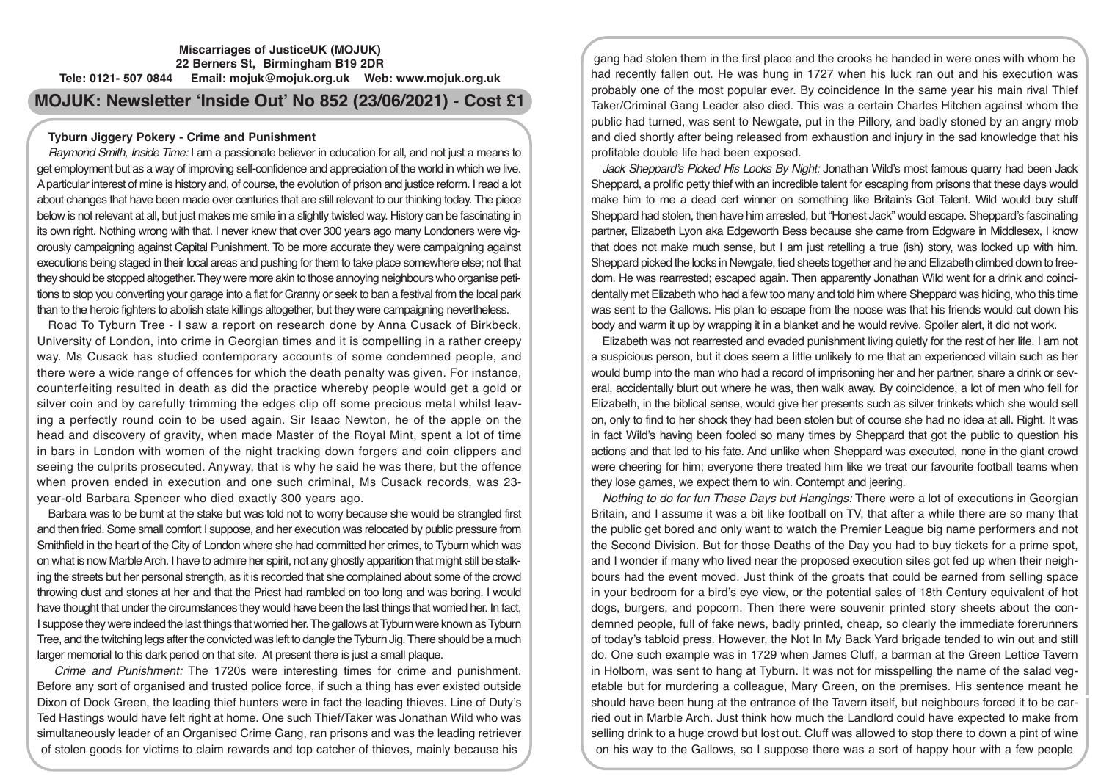# **Miscarriages of JusticeUK (MOJUK) 22 Berners St, Birmingham B19 2DR Tele: 0121- 507 0844 Email: mojuk@mojuk.org.uk Web: www.mojuk.org.uk**

# **MOJUK: Newsletter 'Inside Out' No 852 (23/06/2021) - Cost £1**

# **Tyburn Jiggery Pokery - Crime and Punishment**

*Raymond Smith, Inside Time:* I am a passionate believer in education for all, and not just a means to get employment but as a way of improving self-confidence and appreciation of the world in which we live. A particular interest of mine is history and, of course, the evolution of prison and justice reform. I read a lot about changes that have been made over centuries that are still relevant to our thinking today. The piece below is not relevant at all, but just makes me smile in a slightly twisted way. History can be fascinating in its own right. Nothing wrong with that. I never knew that over 300 years ago many Londoners were vigorously campaigning against Capital Punishment. To be more accurate they were campaigning against executions being staged in their local areas and pushing for them to take place somewhere else; not that they should be stopped altogether. They were more akin to those annoying neighbours who organise petitions to stop you converting your garage into a flat for Granny or seek to ban a festival from the local park than to the heroic fighters to abolish state killings altogether, but they were campaigning nevertheless.

Road To Tyburn Tree - I saw a report on research done by Anna Cusack of Birkbeck, University of London, into crime in Georgian times and it is compelling in a rather creepy way. Ms Cusack has studied contemporary accounts of some condemned people, and there were a wide range of offences for which the death penalty was given. For instance, counterfeiting resulted in death as did the practice whereby people would get a gold or silver coin and by carefully trimming the edges clip off some precious metal whilst leaving a perfectly round coin to be used again. Sir Isaac Newton, he of the apple on the head and discovery of gravity, when made Master of the Royal Mint, spent a lot of time in bars in London with women of the night tracking down forgers and coin clippers and seeing the culprits prosecuted. Anyway, that is why he said he was there, but the offence when proven ended in execution and one such criminal, Ms Cusack records, was 23 year-old Barbara Spencer who died exactly 300 years ago.

Barbara was to be burnt at the stake but was told not to worry because she would be strangled first and then fried. Some small comfort I suppose, and her execution was relocated by public pressure from Smithfield in the heart of the City of London where she had committed her crimes, to Tyburn which was on what is now Marble Arch. I have to admire her spirit, not any ghostly apparition that might still be stalking the streets but her personal strength, as it is recorded that she complained about some of the crowd throwing dust and stones at her and that the Priest had rambled on too long and was boring. I would have thought that under the circumstances they would have been the last things that worried her. In fact, I suppose they were indeed the last things that worried her. The gallows at Tyburn were known as Tyburn Tree, and the twitching legs after the convicted was left to dangle the Tyburn Jig. There should be a much larger memorial to this dark period on that site. At present there is just a small plaque.

 *Crime and Punishment:* The 1720s were interesting times for crime and punishment. Before any sort of organised and trusted police force, if such a thing has ever existed outside Dixon of Dock Green, the leading thief hunters were in fact the leading thieves. Line of Duty's Ted Hastings would have felt right at home. One such Thief/Taker was Jonathan Wild who was simultaneously leader of an Organised Crime Gang, ran prisons and was the leading retriever of stolen goods for victims to claim rewards and top catcher of thieves, mainly because his

gang had stolen them in the first place and the crooks he handed in were ones with whom he had recently fallen out. He was hung in 1727 when his luck ran out and his execution was probably one of the most popular ever. By coincidence In the same year his main rival Thief Taker/Criminal Gang Leader also died. This was a certain Charles Hitchen against whom the public had turned, was sent to Newgate, put in the Pillory, and badly stoned by an angry mob and died shortly after being released from exhaustion and injury in the sad knowledge that his profitable double life had been exposed.

*Jack Sheppard's Picked His Locks By Night:* Jonathan Wild's most famous quarry had been Jack Sheppard, a prolific petty thief with an incredible talent for escaping from prisons that these days would make him to me a dead cert winner on something like Britain's Got Talent. Wild would buy stuff Sheppard had stolen, then have him arrested, but "Honest Jack" would escape. Sheppard's fascinating partner, Elizabeth Lyon aka Edgeworth Bess because she came from Edgware in Middlesex, I know that does not make much sense, but I am just retelling a true (ish) story, was locked up with him. Sheppard picked the locks in Newgate, tied sheets together and he and Elizabeth climbed down to freedom. He was rearrested; escaped again. Then apparently Jonathan Wild went for a drink and coincidentally met Elizabeth who had a few too many and told him where Sheppard was hiding, who this time was sent to the Gallows. His plan to escape from the noose was that his friends would cut down his body and warm it up by wrapping it in a blanket and he would revive. Spoiler alert, it did not work.

Elizabeth was not rearrested and evaded punishment living quietly for the rest of her life. I am not a suspicious person, but it does seem a little unlikely to me that an experienced villain such as her would bump into the man who had a record of imprisoning her and her partner, share a drink or several, accidentally blurt out where he was, then walk away. By coincidence, a lot of men who fell for Elizabeth, in the biblical sense, would give her presents such as silver trinkets which she would sell on, only to find to her shock they had been stolen but of course she had no idea at all. Right. It was in fact Wild's having been fooled so many times by Sheppard that got the public to question his actions and that led to his fate. And unlike when Sheppard was executed, none in the giant crowd were cheering for him; everyone there treated him like we treat our favourite football teams when they lose games, we expect them to win. Contempt and jeering.

*Nothing to do for fun These Days but Hangings:* There were a lot of executions in Georgian Britain, and I assume it was a bit like football on TV, that after a while there are so many that the public get bored and only want to watch the Premier League big name performers and not the Second Division. But for those Deaths of the Day you had to buy tickets for a prime spot, and I wonder if many who lived near the proposed execution sites got fed up when their neighbours had the event moved. Just think of the groats that could be earned from selling space in your bedroom for a bird's eye view, or the potential sales of 18th Century equivalent of hot dogs, burgers, and popcorn. Then there were souvenir printed story sheets about the condemned people, full of fake news, badly printed, cheap, so clearly the immediate forerunners of today's tabloid press. However, the Not In My Back Yard brigade tended to win out and still do. One such example was in 1729 when James Cluff, a barman at the Green Lettice Tavern in Holborn, was sent to hang at Tyburn. It was not for misspelling the name of the salad vegetable but for murdering a colleague, Mary Green, on the premises. His sentence meant he should have been hung at the entrance of the Tavern itself, but neighbours forced it to be carried out in Marble Arch. Just think how much the Landlord could have expected to make from selling drink to a huge crowd but lost out. Cluff was allowed to stop there to down a pint of wine on his way to the Gallows, so I suppose there was a sort of happy hour with a few people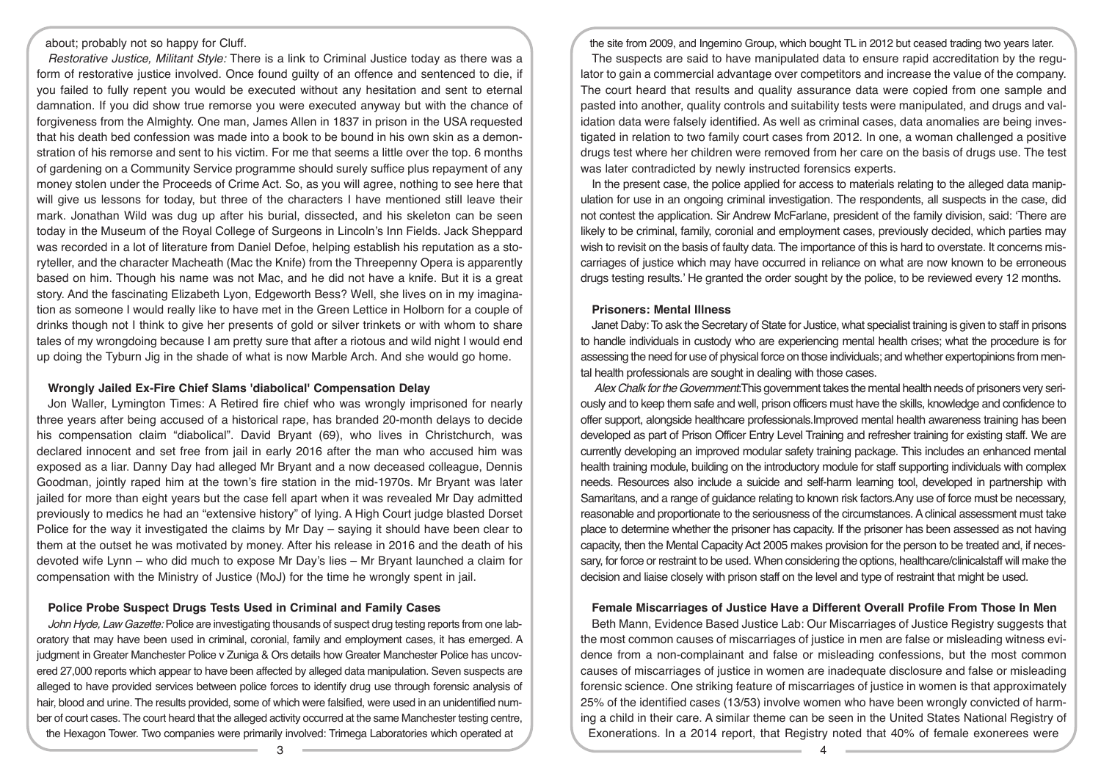# about; probably not so happy for Cluff.

*Restorative Justice, Militant Style:* There is a link to Criminal Justice today as there was a form of restorative justice involved. Once found guilty of an offence and sentenced to die, if you failed to fully repent you would be executed without any hesitation and sent to eternal damnation. If you did show true remorse you were executed anyway but with the chance of forgiveness from the Almighty. One man, James Allen in 1837 in prison in the USA requested that his death bed confession was made into a book to be bound in his own skin as a demonstration of his remorse and sent to his victim. For me that seems a little over the top. 6 months of gardening on a Community Service programme should surely suffice plus repayment of any money stolen under the Proceeds of Crime Act. So, as you will agree, nothing to see here that will give us lessons for today, but three of the characters I have mentioned still leave their mark. Jonathan Wild was dug up after his burial, dissected, and his skeleton can be seen today in the Museum of the Royal College of Surgeons in Lincoln's Inn Fields. Jack Sheppard was recorded in a lot of literature from Daniel Defoe, helping establish his reputation as a storyteller, and the character Macheath (Mac the Knife) from the Threepenny Opera is apparently based on him. Though his name was not Mac, and he did not have a knife. But it is a great story. And the fascinating Elizabeth Lyon, Edgeworth Bess? Well, she lives on in my imagination as someone I would really like to have met in the Green Lettice in Holborn for a couple of drinks though not I think to give her presents of gold or silver trinkets or with whom to share tales of my wrongdoing because I am pretty sure that after a riotous and wild night I would end up doing the Tyburn Jig in the shade of what is now Marble Arch. And she would go home.

# **Wrongly Jailed Ex-Fire Chief Slams 'diabolical' Compensation Delay**

Jon Waller, Lymington Times: A Retired fire chief who was wrongly imprisoned for nearly three years after being accused of a historical rape, has branded 20-month delays to decide his compensation claim "diabolical". David Bryant (69), who lives in Christchurch, was declared innocent and set free from jail in early 2016 after the man who accused him was exposed as a liar. Danny Day had alleged Mr Bryant and a now deceased colleague, Dennis Goodman, jointly raped him at the town's fire station in the mid-1970s. Mr Bryant was later jailed for more than eight years but the case fell apart when it was revealed Mr Day admitted previously to medics he had an "extensive history" of lying. A High Court judge blasted Dorset Police for the way it investigated the claims by Mr Day – saying it should have been clear to them at the outset he was motivated by money. After his release in 2016 and the death of his devoted wife Lynn – who did much to expose Mr Day's lies – Mr Bryant launched a claim for compensation with the Ministry of Justice (MoJ) for the time he wrongly spent in jail.

# **Police Probe Suspect Drugs Tests Used in Criminal and Family Cases**

*John Hyde, Law Gazette:* Police are investigating thousands of suspect drug testing reports from one laboratory that may have been used in criminal, coronial, family and employment cases, it has emerged. A judgment in Greater Manchester Police v Zuniga & Ors details how Greater Manchester Police has uncovered 27,000 reports which appear to have been affected by alleged data manipulation. Seven suspects are alleged to have provided services between police forces to identify drug use through forensic analysis of hair, blood and urine. The results provided, some of which were falsified, were used in an unidentified number of court cases. The court heard that the alleged activity occurred at the same Manchester testing centre, the Hexagon Tower. Two companies were primarily involved: Trimega Laboratories which operated at

the site from 2009, and Ingemino Group, which bought TL in 2012 but ceased trading two years later. The suspects are said to have manipulated data to ensure rapid accreditation by the regulator to gain a commercial advantage over competitors and increase the value of the company. The court heard that results and quality assurance data were copied from one sample and pasted into another, quality controls and suitability tests were manipulated, and drugs and validation data were falsely identified. As well as criminal cases, data anomalies are being investigated in relation to two family court cases from 2012. In one, a woman challenged a positive drugs test where her children were removed from her care on the basis of drugs use. The test was later contradicted by newly instructed forensics experts.

In the present case, the police applied for access to materials relating to the alleged data manipulation for use in an ongoing criminal investigation. The respondents, all suspects in the case, did not contest the application. Sir Andrew McFarlane, president of the family division, said: 'There are likely to be criminal, family, coronial and employment cases, previously decided, which parties may wish to revisit on the basis of faulty data. The importance of this is hard to overstate. It concerns miscarriages of justice which may have occurred in reliance on what are now known to be erroneous drugs testing results.' He granted the order sought by the police, to be reviewed every 12 months.

## **Prisoners: Mental Illness**

Janet Daby: To ask the Secretary of State for Justice, what specialist training is given to staff in prisons to handle individuals in custody who are experiencing mental health crises; what the procedure is for assessing the need for use of physical force on those individuals; and whether expertopinions from mental health professionals are sought in dealing with those cases.

*Alex Chalk for the Government*:This government takes the mental health needs of prisoners very seriously and to keep them safe and well, prison officers must have the skills, knowledge and confidence to offer support, alongside healthcare professionals.Improved mental health awareness training has been developed as part of Prison Officer Entry Level Training and refresher training for existing staff. We are currently developing an improved modular safety training package. This includes an enhanced mental health training module, building on the introductory module for staff supporting individuals with complex needs. Resources also include a suicide and self-harm learning tool, developed in partnership with Samaritans, and a range of guidance relating to known risk factors.Any use of force must be necessary, reasonable and proportionate to the seriousness of the circumstances. A clinical assessment must take place to determine whether the prisoner has capacity. If the prisoner has been assessed as not having capacity, then the Mental Capacity Act 2005 makes provision for the person to be treated and, if necessary, for force or restraint to be used. When considering the options, healthcare/clinicalstaff will make the decision and liaise closely with prison staff on the level and type of restraint that might be used.

# **Female Miscarriages of Justice Have a Different Overall Profile From Those In Men**

Beth Mann, Evidence Based Justice Lab: Our Miscarriages of Justice Registry suggests that the most common causes of miscarriages of justice in men are false or misleading witness evidence from a non-complainant and false or misleading confessions, but the most common causes of miscarriages of justice in women are inadequate disclosure and false or misleading forensic science. One striking feature of miscarriages of justice in women is that approximately 25% of the identified cases (13/53) involve women who have been wrongly convicted of harming a child in their care. A similar theme can be seen in the United States National Registry of Exonerations. In a 2014 report, that Registry noted that 40% of female exonerees were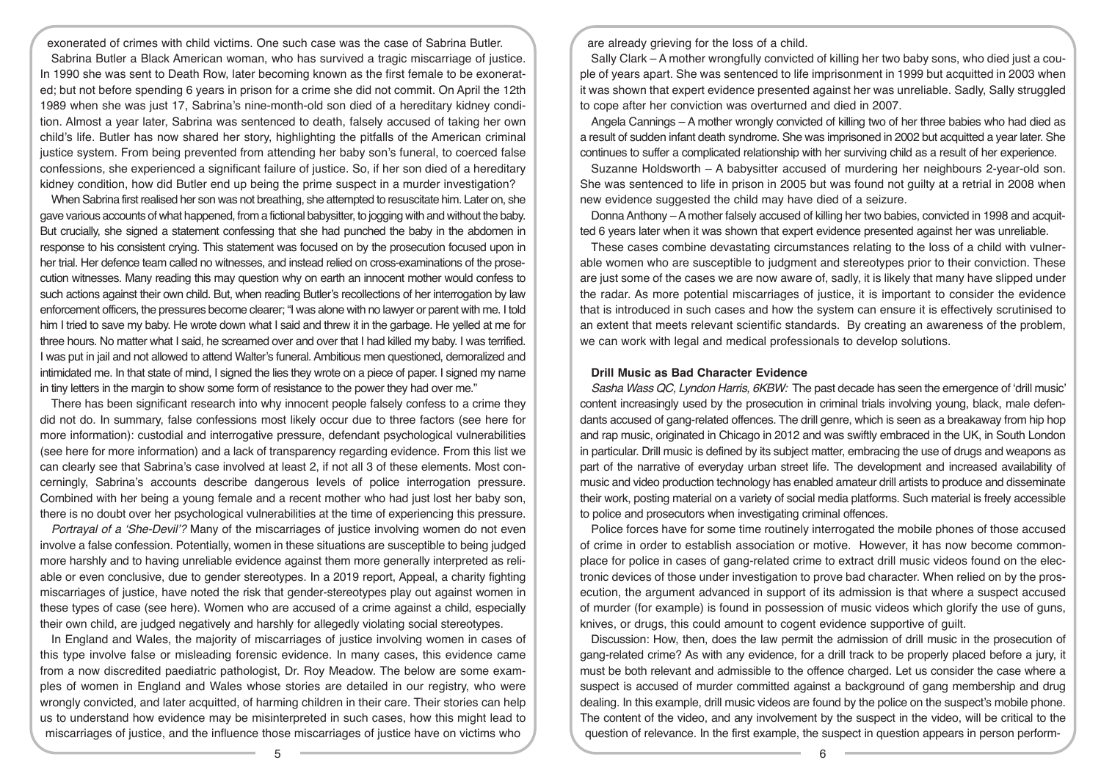exonerated of crimes with child victims. One such case was the case of Sabrina Butler. Sabrina Butler a Black American woman, who has survived a tragic miscarriage of justice. In 1990 she was sent to Death Row, later becoming known as the first female to be exonerated; but not before spending 6 years in prison for a crime she did not commit. On April the 12th 1989 when she was just 17, Sabrina's nine-month-old son died of a hereditary kidney condition. Almost a year later, Sabrina was sentenced to death, falsely accused of taking her own child's life. Butler has now shared her story, highlighting the pitfalls of the American criminal justice system. From being prevented from attending her baby son's funeral, to coerced false confessions, she experienced a significant failure of justice. So, if her son died of a hereditary kidney condition, how did Butler end up being the prime suspect in a murder investigation?

When Sabrina first realised her son was not breathing, she attempted to resuscitate him. Later on, she gave various accounts of what happened, from a fictional babysitter, to jogging with and without the baby. But crucially, she signed a statement confessing that she had punched the baby in the abdomen in response to his consistent crying. This statement was focused on by the prosecution focused upon in her trial. Her defence team called no witnesses, and instead relied on cross-examinations of the prosecution witnesses. Many reading this may question why on earth an innocent mother would confess to such actions against their own child. But, when reading Butler's recollections of her interrogation by law enforcement officers, the pressures become clearer; "I was alone with no lawyer or parent with me. I told him I tried to save my baby. He wrote down what I said and threw it in the garbage. He yelled at me for three hours. No matter what I said, he screamed over and over that I had killed my baby. I was terrified. I was put in jail and not allowed to attend Walter's funeral. Ambitious men questioned, demoralized and intimidated me. In that state of mind, I signed the lies they wrote on a piece of paper. I signed my name in tiny letters in the margin to show some form of resistance to the power they had over me."

There has been significant research into why innocent people falsely confess to a crime they did not do. In summary, false confessions most likely occur due to three factors (see here for more information): custodial and interrogative pressure, defendant psychological vulnerabilities (see here for more information) and a lack of transparency regarding evidence. From this list we can clearly see that Sabrina's case involved at least 2, if not all 3 of these elements. Most concerningly, Sabrina's accounts describe dangerous levels of police interrogation pressure. Combined with her being a young female and a recent mother who had just lost her baby son, there is no doubt over her psychological vulnerabilities at the time of experiencing this pressure.

*Portrayal of a 'She-Devil'?* Many of the miscarriages of justice involving women do not even involve a false confession. Potentially, women in these situations are susceptible to being judged more harshly and to having unreliable evidence against them more generally interpreted as reliable or even conclusive, due to gender stereotypes. In a 2019 report, Appeal, a charity fighting miscarriages of justice, have noted the risk that gender-stereotypes play out against women in these types of case (see here). Women who are accused of a crime against a child, especially their own child, are judged negatively and harshly for allegedly violating social stereotypes.

In England and Wales, the majority of miscarriages of justice involving women in cases of this type involve false or misleading forensic evidence. In many cases, this evidence came from a now discredited paediatric pathologist, Dr. Roy Meadow. The below are some examples of women in England and Wales whose stories are detailed in our registry, who were wrongly convicted, and later acquitted, of harming children in their care. Their stories can help us to understand how evidence may be misinterpreted in such cases, how this might lead to miscarriages of justice, and the influence those miscarriages of justice have on victims who

are already grieving for the loss of a child.

Sally Clark – A mother wrongfully convicted of killing her two baby sons, who died just a couple of years apart. She was sentenced to life imprisonment in 1999 but acquitted in 2003 when it was shown that expert evidence presented against her was unreliable. Sadly, Sally struggled to cope after her conviction was overturned and died in 2007.

Angela Cannings – A mother wrongly convicted of killing two of her three babies who had died as a result of sudden infant death syndrome. She was imprisoned in 2002 but acquitted a year later. She continues to suffer a complicated relationship with her surviving child as a result of her experience.

Suzanne Holdsworth – A babysitter accused of murdering her neighbours 2-year-old son. She was sentenced to life in prison in 2005 but was found not guilty at a retrial in 2008 when new evidence suggested the child may have died of a seizure.

Donna Anthony – A mother falsely accused of killing her two babies, convicted in 1998 and acquitted 6 years later when it was shown that expert evidence presented against her was unreliable.

These cases combine devastating circumstances relating to the loss of a child with vulnerable women who are susceptible to judgment and stereotypes prior to their conviction. These are just some of the cases we are now aware of, sadly, it is likely that many have slipped under the radar. As more potential miscarriages of justice, it is important to consider the evidence that is introduced in such cases and how the system can ensure it is effectively scrutinised to an extent that meets relevant scientific standards. By creating an awareness of the problem, we can work with legal and medical professionals to develop solutions.

# **Drill Music as Bad Character Evidence**

*Sasha Wass QC, Lyndon Harris, 6KBW:* The past decade has seen the emergence of 'drill music' content increasingly used by the prosecution in criminal trials involving young, black, male defendants accused of gang-related offences. The drill genre, which is seen as a breakaway from hip hop and rap music, originated in Chicago in 2012 and was swiftly embraced in the UK, in South London in particular. Drill music is defined by its subject matter, embracing the use of drugs and weapons as part of the narrative of everyday urban street life. The development and increased availability of music and video production technology has enabled amateur drill artists to produce and disseminate their work, posting material on a variety of social media platforms. Such material is freely accessible to police and prosecutors when investigating criminal offences.

Police forces have for some time routinely interrogated the mobile phones of those accused of crime in order to establish association or motive. However, it has now become commonplace for police in cases of gang-related crime to extract drill music videos found on the electronic devices of those under investigation to prove bad character. When relied on by the prosecution, the argument advanced in support of its admission is that where a suspect accused of murder (for example) is found in possession of music videos which glorify the use of guns, knives, or drugs, this could amount to cogent evidence supportive of guilt.

Discussion: How, then, does the law permit the admission of drill music in the prosecution of gang-related crime? As with any evidence, for a drill track to be properly placed before a jury, it must be both relevant and admissible to the offence charged. Let us consider the case where a suspect is accused of murder committed against a background of gang membership and drug dealing. In this example, drill music videos are found by the police on the suspect's mobile phone. The content of the video, and any involvement by the suspect in the video, will be critical to the question of relevance. In the first example, the suspect in question appears in person perform-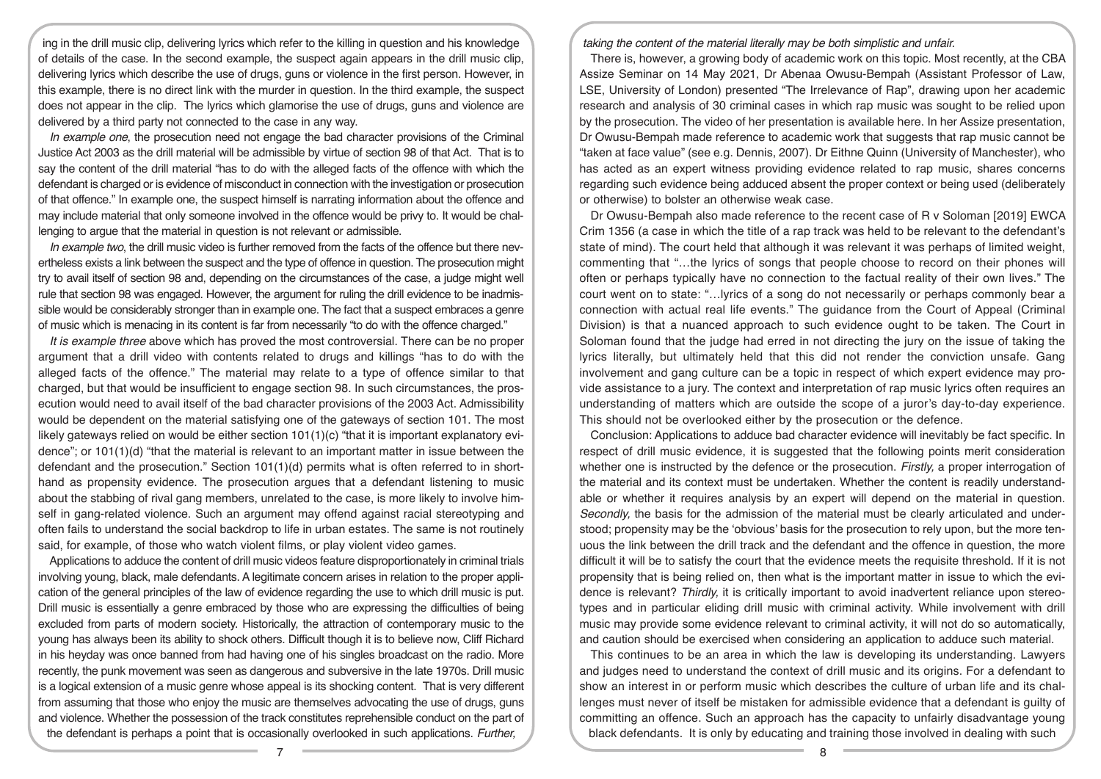ing in the drill music clip, delivering lyrics which refer to the killing in question and his knowledge of details of the case. In the second example, the suspect again appears in the drill music clip, delivering lyrics which describe the use of drugs, guns or violence in the first person. However, in this example, there is no direct link with the murder in question. In the third example, the suspect does not appear in the clip. The lyrics which glamorise the use of drugs, guns and violence are delivered by a third party not connected to the case in any way.

*In example one*, the prosecution need not engage the bad character provisions of the Criminal Justice Act 2003 as the drill material will be admissible by virtue of section 98 of that Act. That is to say the content of the drill material "has to do with the alleged facts of the offence with which the defendant is charged or is evidence of misconduct in connection with the investigation or prosecution of that offence." In example one, the suspect himself is narrating information about the offence and may include material that only someone involved in the offence would be privy to. It would be challenging to argue that the material in question is not relevant or admissible.

*In example two*, the drill music video is further removed from the facts of the offence but there nevertheless exists a link between the suspect and the type of offence in question. The prosecution might try to avail itself of section 98 and, depending on the circumstances of the case, a judge might well rule that section 98 was engaged. However, the argument for ruling the drill evidence to be inadmissible would be considerably stronger than in example one. The fact that a suspect embraces a genre of music which is menacing in its content is far from necessarily "to do with the offence charged."

*It is example three* above which has proved the most controversial. There can be no proper argument that a drill video with contents related to drugs and killings "has to do with the alleged facts of the offence." The material may relate to a type of offence similar to that charged, but that would be insufficient to engage section 98. In such circumstances, the prosecution would need to avail itself of the bad character provisions of the 2003 Act. Admissibility would be dependent on the material satisfying one of the gateways of section 101. The most likely gateways relied on would be either section  $101(1)(c)$  "that it is important explanatory evidence"; or 101(1)(d) "that the material is relevant to an important matter in issue between the defendant and the prosecution." Section  $101(1)(d)$  permits what is often referred to in shorthand as propensity evidence. The prosecution argues that a defendant listening to music about the stabbing of rival gang members, unrelated to the case, is more likely to involve himself in gang-related violence. Such an argument may offend against racial stereotyping and often fails to understand the social backdrop to life in urban estates. The same is not routinely said, for example, of those who watch violent films, or play violent video games.

Applications to adduce the content of drill music videos feature disproportionately in criminal trials involving young, black, male defendants. A legitimate concern arises in relation to the proper application of the general principles of the law of evidence regarding the use to which drill music is put. Drill music is essentially a genre embraced by those who are expressing the difficulties of being excluded from parts of modern society. Historically, the attraction of contemporary music to the young has always been its ability to shock others. Difficult though it is to believe now, Cliff Richard in his heyday was once banned from had having one of his singles broadcast on the radio. More recently, the punk movement was seen as dangerous and subversive in the late 1970s. Drill music is a logical extension of a music genre whose appeal is its shocking content. That is very different from assuming that those who enjoy the music are themselves advocating the use of drugs, guns and violence. Whether the possession of the track constitutes reprehensible conduct on the part of the defendant is perhaps a point that is occasionally overlooked in such applications. *Further,* 

*taking the content of the material literally may be both simplistic and unfair.* 

There is, however, a growing body of academic work on this topic. Most recently, at the CBA Assize Seminar on 14 May 2021, Dr Abenaa Owusu-Bempah (Assistant Professor of Law, LSE, University of London) presented "The Irrelevance of Rap", drawing upon her academic research and analysis of 30 criminal cases in which rap music was sought to be relied upon by the prosecution. The video of her presentation is available here. In her Assize presentation, Dr Owusu-Bempah made reference to academic work that suggests that rap music cannot be "taken at face value" (see e.g. Dennis, 2007). Dr Eithne Quinn (University of Manchester), who has acted as an expert witness providing evidence related to rap music, shares concerns regarding such evidence being adduced absent the proper context or being used (deliberately or otherwise) to bolster an otherwise weak case.

Dr Owusu-Bempah also made reference to the recent case of R v Soloman [2019] EWCA Crim 1356 (a case in which the title of a rap track was held to be relevant to the defendant's state of mind). The court held that although it was relevant it was perhaps of limited weight, commenting that "…the lyrics of songs that people choose to record on their phones will often or perhaps typically have no connection to the factual reality of their own lives." The court went on to state: "…lyrics of a song do not necessarily or perhaps commonly bear a connection with actual real life events." The guidance from the Court of Appeal (Criminal Division) is that a nuanced approach to such evidence ought to be taken. The Court in Soloman found that the judge had erred in not directing the jury on the issue of taking the lyrics literally, but ultimately held that this did not render the conviction unsafe. Gang involvement and gang culture can be a topic in respect of which expert evidence may provide assistance to a jury. The context and interpretation of rap music lyrics often requires an understanding of matters which are outside the scope of a juror's day-to-day experience. This should not be overlooked either by the prosecution or the defence.

Conclusion: Applications to adduce bad character evidence will inevitably be fact specific. In respect of drill music evidence, it is suggested that the following points merit consideration whether one is instructed by the defence or the prosecution. *Firstly,* a proper interrogation of the material and its context must be undertaken. Whether the content is readily understandable or whether it requires analysis by an expert will depend on the material in question. *Secondly,* the basis for the admission of the material must be clearly articulated and understood; propensity may be the 'obvious' basis for the prosecution to rely upon, but the more tenuous the link between the drill track and the defendant and the offence in question, the more difficult it will be to satisfy the court that the evidence meets the requisite threshold. If it is not propensity that is being relied on, then what is the important matter in issue to which the evidence is relevant? *Thirdly,* it is critically important to avoid inadvertent reliance upon stereotypes and in particular eliding drill music with criminal activity. While involvement with drill music may provide some evidence relevant to criminal activity, it will not do so automatically, and caution should be exercised when considering an application to adduce such material.

This continues to be an area in which the law is developing its understanding. Lawyers and judges need to understand the context of drill music and its origins. For a defendant to show an interest in or perform music which describes the culture of urban life and its challenges must never of itself be mistaken for admissible evidence that a defendant is guilty of committing an offence. Such an approach has the capacity to unfairly disadvantage young black defendants. It is only by educating and training those involved in dealing with such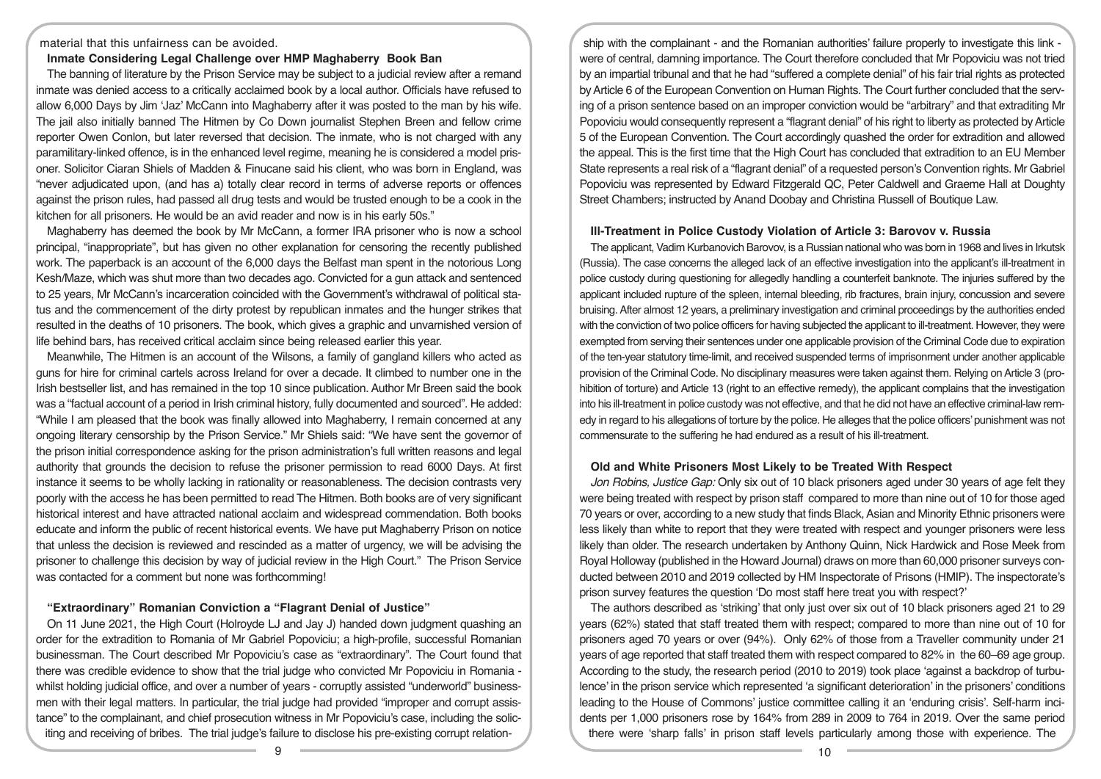# material that this unfairness can be avoided.

# **Inmate Considering Legal Challenge over HMP Maghaberry Book Ban**

The banning of literature by the Prison Service may be subject to a judicial review after a remand inmate was denied access to a critically acclaimed book by a local author. Officials have refused to allow 6,000 Days by Jim 'Jaz' McCann into Maghaberry after it was posted to the man by his wife. The jail also initially banned The Hitmen by Co Down journalist Stephen Breen and fellow crime reporter Owen Conlon, but later reversed that decision. The inmate, who is not charged with any paramilitary-linked offence, is in the enhanced level regime, meaning he is considered a model prisoner. Solicitor Ciaran Shiels of Madden & Finucane said his client, who was born in England, was "never adjudicated upon, (and has a) totally clear record in terms of adverse reports or offences against the prison rules, had passed all drug tests and would be trusted enough to be a cook in the kitchen for all prisoners. He would be an avid reader and now is in his early 50s."

Maghaberry has deemed the book by Mr McCann, a former IRA prisoner who is now a school principal, "inappropriate", but has given no other explanation for censoring the recently published work. The paperback is an account of the 6,000 days the Belfast man spent in the notorious Long Kesh/Maze, which was shut more than two decades ago. Convicted for a gun attack and sentenced to 25 years, Mr McCann's incarceration coincided with the Government's withdrawal of political status and the commencement of the dirty protest by republican inmates and the hunger strikes that resulted in the deaths of 10 prisoners. The book, which gives a graphic and unvarnished version of life behind bars, has received critical acclaim since being released earlier this year.

Meanwhile, The Hitmen is an account of the Wilsons, a family of gangland killers who acted as guns for hire for criminal cartels across Ireland for over a decade. It climbed to number one in the Irish bestseller list, and has remained in the top 10 since publication. Author Mr Breen said the book was a "factual account of a period in Irish criminal history, fully documented and sourced". He added: "While I am pleased that the book was finally allowed into Maghaberry, I remain concerned at any ongoing literary censorship by the Prison Service." Mr Shiels said: "We have sent the governor of the prison initial correspondence asking for the prison administration's full written reasons and legal authority that grounds the decision to refuse the prisoner permission to read 6000 Days. At first instance it seems to be wholly lacking in rationality or reasonableness. The decision contrasts very poorly with the access he has been permitted to read The Hitmen. Both books are of very significant historical interest and have attracted national acclaim and widespread commendation. Both books educate and inform the public of recent historical events. We have put Maghaberry Prison on notice that unless the decision is reviewed and rescinded as a matter of urgency, we will be advising the prisoner to challenge this decision by way of judicial review in the High Court." The Prison Service was contacted for a comment but none was forthcomming!

# **"Extraordinary" Romanian Conviction a "Flagrant Denial of Justice"**

On 11 June 2021, the High Court (Holroyde LJ and Jay J) handed down judgment quashing an order for the extradition to Romania of Mr Gabriel Popoviciu; a high-profile, successful Romanian businessman. The Court described Mr Popoviciu's case as "extraordinary". The Court found that there was credible evidence to show that the trial judge who convicted Mr Popoviciu in Romania whilst holding judicial office, and over a number of years - corruptly assisted "underworld" businessmen with their legal matters. In particular, the trial judge had provided "improper and corrupt assistance" to the complainant, and chief prosecution witness in Mr Popoviciu's case, including the soliciting and receiving of bribes. The trial judge's failure to disclose his pre-existing corrupt relation-

ship with the complainant - and the Romanian authorities' failure properly to investigate this link were of central, damning importance. The Court therefore concluded that Mr Popoviciu was not tried by an impartial tribunal and that he had "suffered a complete denial" of his fair trial rights as protected by Article 6 of the European Convention on Human Rights. The Court further concluded that the serving of a prison sentence based on an improper conviction would be "arbitrary" and that extraditing Mr Popoviciu would consequently represent a "flagrant denial" of his right to liberty as protected by Article 5 of the European Convention. The Court accordingly quashed the order for extradition and allowed the appeal. This is the first time that the High Court has concluded that extradition to an EU Member State represents a real risk of a "flagrant denial" of a requested person's Convention rights. Mr Gabriel Popoviciu was represented by Edward Fitzgerald QC, Peter Caldwell and Graeme Hall at Doughty Street Chambers; instructed by Anand Doobay and Christina Russell of Boutique Law.

#### **Ill-Treatment in Police Custody Violation of Article 3: Barovov v. Russia**

The applicant, Vadim Kurbanovich Barovov, is a Russian national who was born in 1968 and lives in Irkutsk (Russia). The case concerns the alleged lack of an effective investigation into the applicant's ill-treatment in police custody during questioning for allegedly handling a counterfeit banknote. The injuries suffered by the applicant included rupture of the spleen, internal bleeding, rib fractures, brain injury, concussion and severe bruising. After almost 12 years, a preliminary investigation and criminal proceedings by the authorities ended with the conviction of two police officers for having subjected the applicant to ill-treatment. However, they were exempted from serving their sentences under one applicable provision of the Criminal Code due to expiration of the ten-year statutory time-limit, and received suspended terms of imprisonment under another applicable provision of the Criminal Code. No disciplinary measures were taken against them. Relying on Article 3 (prohibition of torture) and Article 13 (right to an effective remedy), the applicant complains that the investigation into his ill-treatment in police custody was not effective, and that he did not have an effective criminal-law remedy in regard to his allegations of torture by the police. He alleges that the police officers' punishment was not commensurate to the suffering he had endured as a result of his ill-treatment.

### **Old and White Prisoners Most Likely to be Treated With Respect**

*Jon Robins, Justice Gap:* Only six out of 10 black prisoners aged under 30 years of age felt they were being treated with respect by prison staff compared to more than nine out of 10 for those aged 70 years or over, according to a new study that finds Black, Asian and Minority Ethnic prisoners were less likely than white to report that they were treated with respect and younger prisoners were less likely than older. The research undertaken by Anthony Quinn, Nick Hardwick and Rose Meek from Royal Holloway (published in the Howard Journal) draws on more than 60,000 prisoner surveys conducted between 2010 and 2019 collected by HM Inspectorate of Prisons (HMIP). The inspectorate's prison survey features the question 'Do most staff here treat you with respect?'

The authors described as 'striking' that only just over six out of 10 black prisoners aged 21 to 29 years (62%) stated that staff treated them with respect; compared to more than nine out of 10 for prisoners aged 70 years or over (94%). Only 62% of those from a Traveller community under 21 years of age reported that staff treated them with respect compared to 82% in the 60–69 age group. According to the study, the research period (2010 to 2019) took place 'against a backdrop of turbulence' in the prison service which represented 'a significant deterioration' in the prisoners' conditions leading to the House of Commons' justice committee calling it an 'enduring crisis'. Self-harm incidents per 1,000 prisoners rose by 164% from 289 in 2009 to 764 in 2019. Over the same period there were 'sharp falls' in prison staff levels particularly among those with experience. The